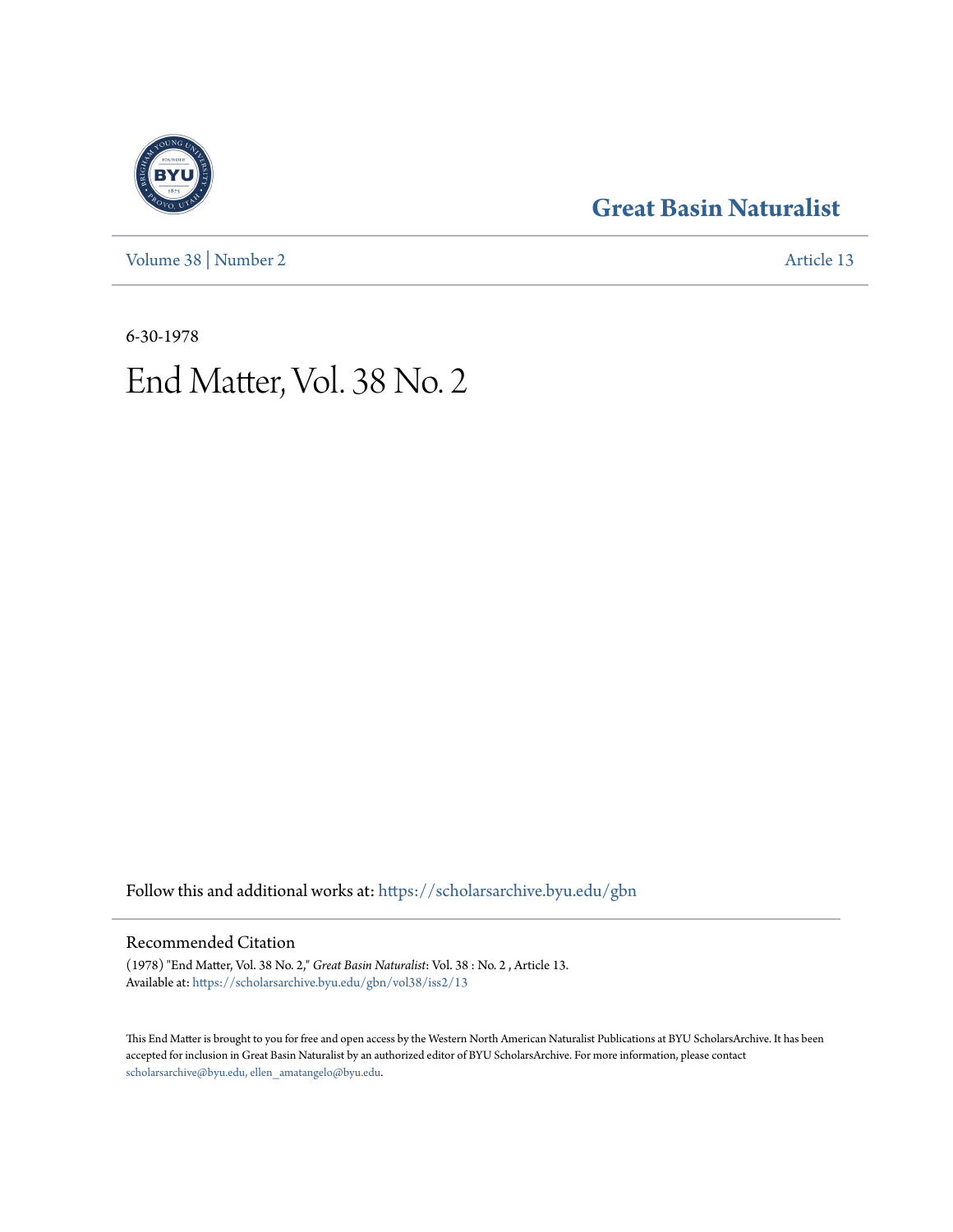[Volume 38](https://scholarsarchive.byu.edu/gbn/vol38?utm_source=scholarsarchive.byu.edu%2Fgbn%2Fvol38%2Fiss2%2F13&utm_medium=PDF&utm_campaign=PDFCoverPages) | [Number 2](https://scholarsarchive.byu.edu/gbn/vol38/iss2?utm_source=scholarsarchive.byu.edu%2Fgbn%2Fvol38%2Fiss2%2F13&utm_medium=PDF&utm_campaign=PDFCoverPages) [Article 13](https://scholarsarchive.byu.edu/gbn/vol38/iss2/13?utm_source=scholarsarchive.byu.edu%2Fgbn%2Fvol38%2Fiss2%2F13&utm_medium=PDF&utm_campaign=PDFCoverPages)

## **[Great Basin Naturalist](https://scholarsarchive.byu.edu/gbn?utm_source=scholarsarchive.byu.edu%2Fgbn%2Fvol38%2Fiss2%2F13&utm_medium=PDF&utm_campaign=PDFCoverPages)**

6-30-1978

# End Matter, Vol. 38 No. 2

Follow this and additional works at: [https://scholarsarchive.byu.edu/gbn](https://scholarsarchive.byu.edu/gbn?utm_source=scholarsarchive.byu.edu%2Fgbn%2Fvol38%2Fiss2%2F13&utm_medium=PDF&utm_campaign=PDFCoverPages)

### Recommended Citation

(1978) "End Matter, Vol. 38 No. 2," *Great Basin Naturalist*: Vol. 38 : No. 2 , Article 13. Available at: [https://scholarsarchive.byu.edu/gbn/vol38/iss2/13](https://scholarsarchive.byu.edu/gbn/vol38/iss2/13?utm_source=scholarsarchive.byu.edu%2Fgbn%2Fvol38%2Fiss2%2F13&utm_medium=PDF&utm_campaign=PDFCoverPages)

This End Matter is brought to you for free and open access by the Western North American Naturalist Publications at BYU ScholarsArchive. It has been accepted for inclusion in Great Basin Naturalist by an authorized editor of BYU ScholarsArchive. For more information, please contact [scholarsarchive@byu.edu, ellen\\_amatangelo@byu.edu.](mailto:scholarsarchive@byu.edu,%20ellen_amatangelo@byu.edu)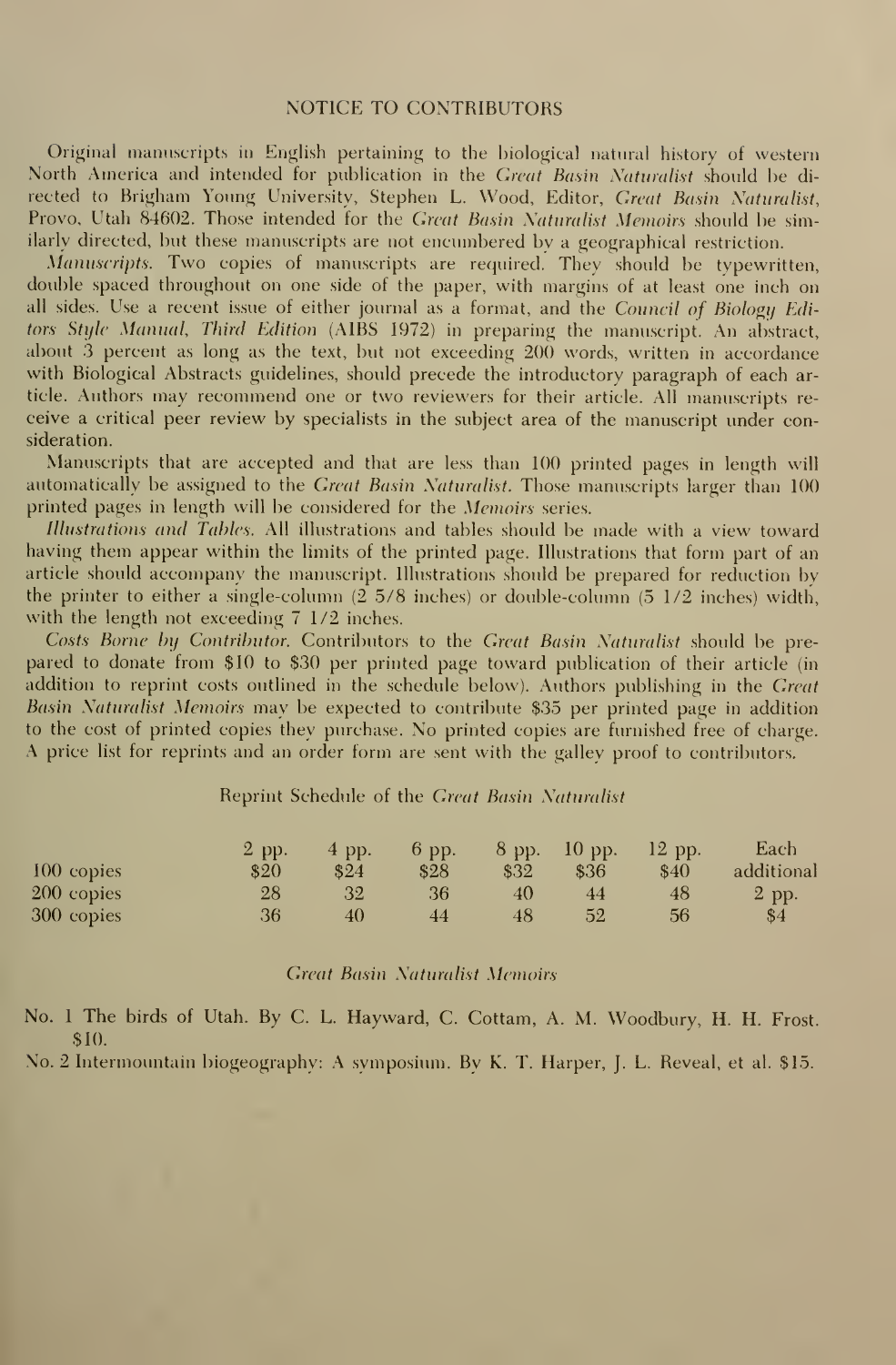#### NOTICE TO CONTRIBUTORS

Original manuscripts in English pertaining to the biological natural history of western North America and intended for publication in the Great Basin Naturalist should be di rected to Brigham Young University, Stephen L. Wood, Editor, Great Basin Naturalist, Provo, Utah 84602. Those intended for the Great Basin Naturalist Memoirs should be similarly directed, but these manuscripts are not encumbered by a geographical restriction.

Manuseripts. Two copies of manuscripts are required. They should be typewritten, double spaced throughout on one side of the paper, with margins of at least one inch on all sides. Use a recent issue of either journal as a format, and the Council of Biology Editors Stifle Manual, Third Edition (AIBS 1972) in preparing the manuscript. An abstract, about 3 percent as long as the text, but not exceeding 200 words, written in accordance with Biological Abstracts guidelines, should precede the introductory paragraph of each article. Authors may recommend one or two reviewers for their article. All manuscripts re ceive a critical peer review by specialists in the subject area of the manuscript under consideration.

Manuscripts that are accepted and that are less than 100 printed pages in length will automatically be assigned to the *Great Basin Naturalist*. Those manuscripts larger than 100 printed pages in length will be considered for the *Memoirs* series.

Illustrations and Tables. All illustrations and tables should be made with a view toward having them appear within the limits of the printed page. Illustrations that form part of an article should accompany the manuscript. Illustrations should be prepared for reduction by the printer to either a single-column (2 5/8 inches) or double-column (5 1/2 inches) width, with the length not exceeding 7 1/2 inches.

Costs Borne by Contributor. Contributors to the Great Basin Naturalist should be prepared to donate from \$10 to \$30 per printed page toward publication of their article (in addition to reprint costs outlined in the schedule below). Authors publishing in the Great Basin Naturalist Memoirs may be expected to contribute \$35 per printed page in addition to the cost of printed copies they purchase. No printed copies are furnished free of charge. A price list for reprints and an order form are sent with the galley proof to contributors.

#### Reprint Schedule of the Great Basin Naturalist

|            | $2$ pp. | 4 pp. | $6$ pp. |      | $8$ pp. $10$ pp. | $12$ pp. | Each       |
|------------|---------|-------|---------|------|------------------|----------|------------|
| 100 copies | \$20    | \$24  | \$28    | \$32 | \$36             | \$40     | additional |
| 200 copies | 28      | 32    | 36      | 40   | 44               | 48       | 2 pp.      |
| 300 copies | 36      | 40    |         | 48   | 52               | 56       | \$4        |

#### **Great Basin Naturalist Memoirs**

No. 1 The birds of Utah. By C. L. Hayward, C. Cottam, A. M. Woodbury, H. H. Frost.  $$10.$ 

No. 2 Intermountain biogeography: A symposium. By K. T. Harper, J. L. Reveal, et al. \$15.